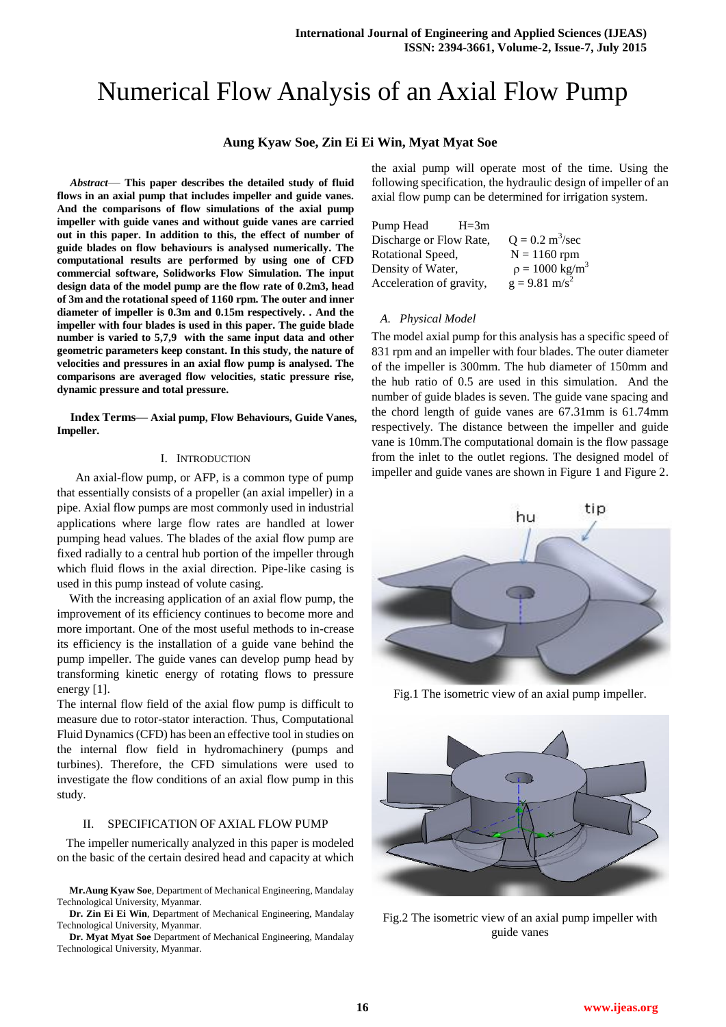# Numerical Flow Analysis of an Axial Flow Pump

# **Aung Kyaw Soe, Zin Ei Ei Win, Myat Myat Soe**

*Abstract*— **This paper describes the detailed study of fluid flows in an axial pump that includes impeller and guide vanes. And the comparisons of flow simulations of the axial pump impeller with guide vanes and without guide vanes are carried out in this paper. In addition to this, the effect of number of guide blades on flow behaviours is analysed numerically. The computational results are performed by using one of CFD commercial software, Solidworks Flow Simulation. The input design data of the model pump are the flow rate of 0.2m3, head of 3m and the rotational speed of 1160 rpm. The outer and inner diameter of impeller is 0.3m and 0.15m respectively. . And the impeller with four blades is used in this paper. The guide blade number is varied to 5,7,9 with the same input data and other geometric parameters keep constant. In this study, the nature of velocities and pressures in an axial flow pump is analysed. The comparisons are averaged flow velocities, static pressure rise, dynamic pressure and total pressure.** 

**Index Terms— Axial pump, Flow Behaviours, Guide Vanes, Impeller.**

### I. INTRODUCTION

 An axial-flow pump, or AFP, is a common type of pump that essentially consists of a propeller (an axial impeller) in a pipe. Axial flow pumps are most commonly used in industrial applications where large flow rates are handled at lower pumping head values. The blades of the axial flow pump are fixed radially to a central hub portion of the impeller through which fluid flows in the axial direction. Pipe-like casing is used in this pump instead of volute casing.

With the increasing application of an axial flow pump, the improvement of its efficiency continues to become more and more important. One of the most useful methods to in-crease its efficiency is the installation of a guide vane behind the pump impeller. The guide vanes can develop pump head by transforming kinetic energy of rotating flows to pressure energy [1].

The internal flow field of the axial flow pump is difficult to measure due to rotor-stator interaction. Thus, Computational Fluid Dynamics (CFD) has been an effective tool in studies on the internal flow field in hydromachinery (pumps and turbines). Therefore, the CFD simulations were used to investigate the flow conditions of an axial flow pump in this study.

#### II. SPECIFICATION OF AXIAL FLOW PUMP

The impeller numerically analyzed in this paper is modeled on the basic of the certain desired head and capacity at which

**Mr.Aung Kyaw Soe**, Department of Mechanical Engineering, Mandalay Technological University, Myanmar.

**Dr. Zin Ei Ei Win**, Department of Mechanical Engineering, Mandalay Technological University, Myanmar.

**Dr. Myat Myat Soe** Department of Mechanical Engineering, Mandalay Technological University, Myanmar.

the axial pump will operate most of the time. Using the following specification, the hydraulic design of impeller of an axial flow pump can be determined for irrigation system.

| Pump Head                | $H = 3m$ |                                  |
|--------------------------|----------|----------------------------------|
| Discharge or Flow Rate,  |          | $Q = 0.2 \text{ m}^3/\text{sec}$ |
| Rotational Speed,        |          | $N = 1160$ rpm                   |
| Density of Water,        |          | $p = 1000 \text{ kg/m}^3$        |
| Acceleration of gravity, |          | $g = 9.81$ m/s <sup>2</sup>      |

### *A. Physical Model*

The model axial pump for this analysis has a specific speed of 831 rpm and an impeller with four blades. The outer diameter of the impeller is 300mm. The hub diameter of 150mm and the hub ratio of 0.5 are used in this simulation. And the number of guide blades is seven. The guide vane spacing and the chord length of guide vanes are 67.31mm is 61.74mm respectively. The distance between the impeller and guide vane is 10mm.The computational domain is the flow passage from the inlet to the outlet regions. The designed model of impeller and guide vanes are shown in Figure 1 and Figure 2.



Fig.1 The isometric view of an axial pump impeller.



Fig.2 The isometric view of an axial pump impeller with guide vanes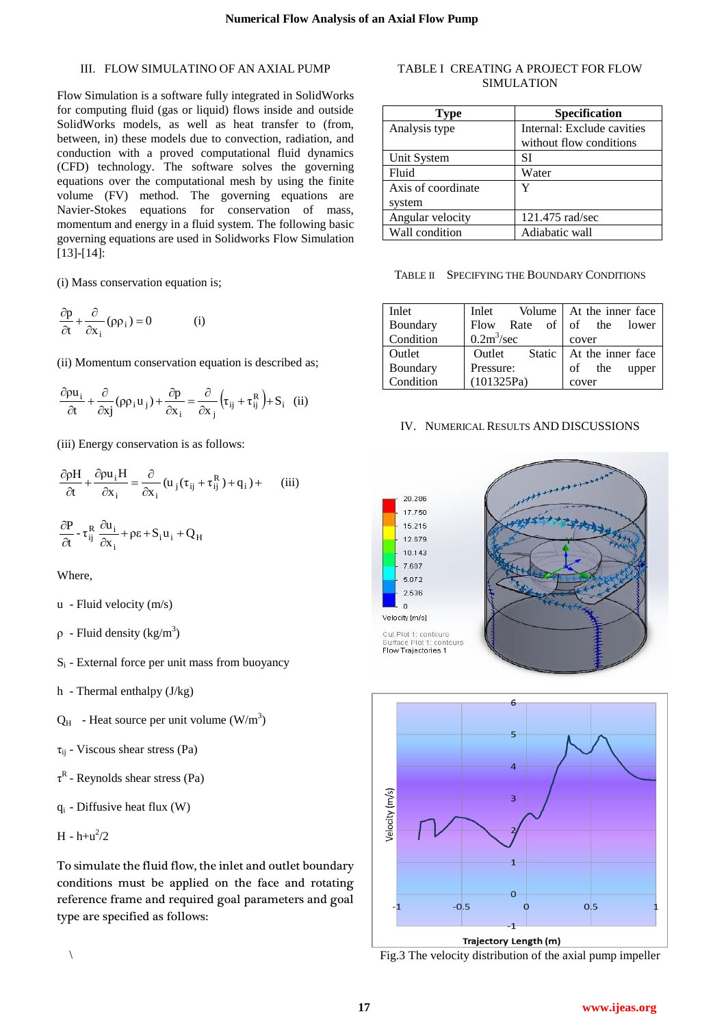# III. FLOW SIMULATINO OF AN AXIAL PUMP

Flow Simulation is a software fully integrated in SolidWorks for computing fluid (gas or liquid) flows inside and outside SolidWorks models, as well as heat transfer to (from, between, in) these models due to convection, radiation, and conduction with a proved computational fluid dynamics (CFD) technology. The software solves the governing equations over the computational mesh by using the finite volume (FV) method. The governing equations are Navier-Stokes equations for conservation of mass, momentum and energy in a fluid system. The following basic governing equations are used in Solidworks Flow Simulation [13]-[14]:

(i) Mass conservation equation is;

$$
\frac{\partial p}{\partial t} + \frac{\partial}{\partial x_i} (\rho \rho_i) = 0
$$
 (i)

(ii) Momentum conservation equation is described as;

$$
\frac{\partial \rho u_i}{\partial t} + \frac{\partial}{\partial x_j} (\rho \rho_i u_j) + \frac{\partial p}{\partial x_i} = \frac{\partial}{\partial x_j} \left( \tau_{ij} + \tau_{ij}^R \right) + S_i
$$
 (ii)

(iii) Energy conservation is as follows:

$$
\frac{\partial \rho H}{\partial t} + \frac{\partial \rho u_i H}{\partial x_i} = \frac{\partial}{\partial x_i} (u_j (\tau_{ij} + \tau_{ij}^R) + q_i) + \text{(iii)}
$$
  

$$
\frac{\partial P}{\partial t} - \tau_{ij}^R \frac{\partial u_i}{\partial x_i} + \rho \varepsilon + S_i u_i + Q_H
$$

Where,

- u Fluid velocity (m/s)
- $\rho$  Fluid density (kg/m<sup>3</sup>)
- $S_i$  External force per unit mass from buoyancy
- h Thermal enthalpy (J/kg)
- $Q_H$  Heat source per unit volume  $(W/m^3)$
- $\tau_{ii}$  Viscous shear stress (Pa)
- $\tau^R$  Reynolds shear stress (Pa)
- $q_i$  Diffusive heat flux (W)

$$
H - h + u^2/2
$$

To simulate the fluid flow, the inlet and outlet boundary conditions must be applied on the face and rotating reference frame and required goal parameters and goal type are specified as follows:

# TABLE I CREATING A PROJECT FOR FLOW SIMULATION

| Type               | Specification              |
|--------------------|----------------------------|
| Analysis type      | Internal: Exclude cavities |
|                    | without flow conditions    |
| Unit System        | SI                         |
| Fluid              | Water                      |
| Axis of coordinate | Y                          |
| system             |                            |
| Angular velocity   | 121.475 rad/sec            |
| Wall condition     | Adiabatic wall             |

TABLE II SPECIFYING THE BOUNDARY CONDITIONS

| Inlet     | Inlet                   | Volume   At the inner face |
|-----------|-------------------------|----------------------------|
| Boundary  | Flow Rate of            | of the lower               |
| Condition | $0.2m^3/sec$            | cover                      |
| Outlet    | Outlet<br><b>Static</b> | At the inner face          |
| Boundary  | Pressure:               | of the<br>upper            |
| Condition | (101325Pa)              | cover                      |

## IV. NUMERICAL RESULTS AND DISCUSSIONS





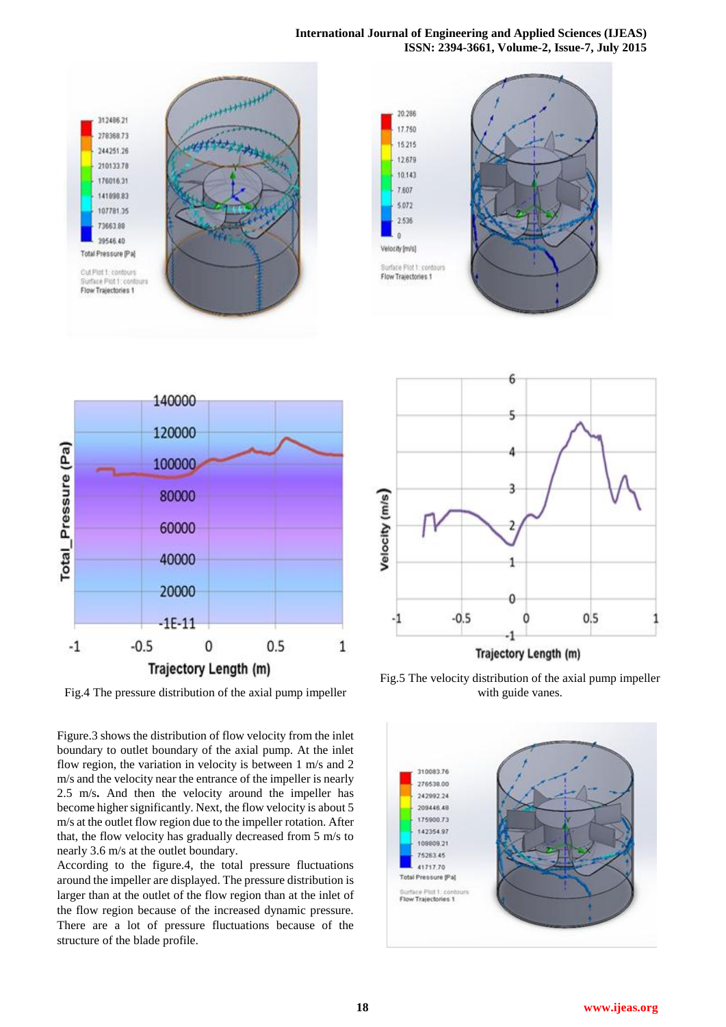## **International Journal of Engineering and Applied Sciences (IJEAS) ISSN: 2394-3661, Volume-2, Issue-7, July 2015**





Fig.4 The pressure distribution of the axial pump impeller

Figure.3 shows the distribution of flow velocity from the inlet boundary to outlet boundary of the axial pump. At the inlet flow region, the variation in velocity is between 1 m/s and 2 m/s and the velocity near the entrance of the impeller is nearly 2.5 m/s**.** And then the velocity around the impeller has become higher significantly. Next, the flow velocity is about 5 m/s at the outlet flow region due to the impeller rotation. After that, the flow velocity has gradually decreased from 5 m/s to nearly 3.6 m/s at the outlet boundary.

According to the figure.4, the total pressure fluctuations around the impeller are displayed. The pressure distribution is larger than at the outlet of the flow region than at the inlet of the flow region because of the increased dynamic pressure. There are a lot of pressure fluctuations because of the structure of the blade profile.



Trajectory Length (m)

Fig.5 The velocity distribution of the axial pump impeller with guide vanes.

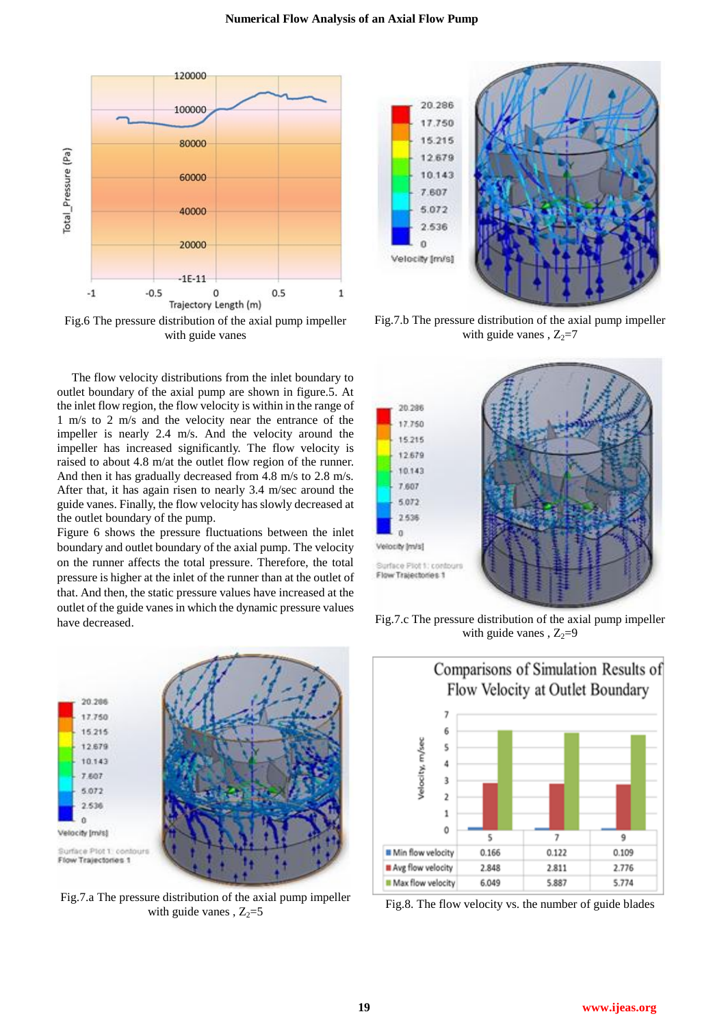

Fig.6 The pressure distribution of the axial pump impeller with guide vanes

The flow velocity distributions from the inlet boundary to outlet boundary of the axial pump are shown in figure.5. At the inlet flow region, the flow velocity is within in the range of 1 m/s to 2 m/s and the velocity near the entrance of the impeller is nearly 2.4 m/s. And the velocity around the impeller has increased significantly. The flow velocity is raised to about 4.8 m/at the outlet flow region of the runner. And then it has gradually decreased from 4.8 m/s to 2.8 m/s. After that, it has again risen to nearly 3.4 m/sec around the guide vanes. Finally, the flow velocity has slowly decreased at the outlet boundary of the pump.

Figure 6 shows the pressure fluctuations between the inlet boundary and outlet boundary of the axial pump. The velocity on the runner affects the total pressure. Therefore, the total pressure is higher at the inlet of the runner than at the outlet of that. And then, the static pressure values have increased at the outlet of the guide vanes in which the dynamic pressure values have decreased.



Fig.7.a The pressure distribution of the axial pump impeller with guide vanes ,  $Z_2=5$ 



Fig.7.b The pressure distribution of the axial pump impeller with guide vanes,  $Z_2=7$ 



Fig.7.c The pressure distribution of the axial pump impeller with guide vanes,  $Z_2=9$ 



Fig.8. The flow velocity vs. the number of guide blades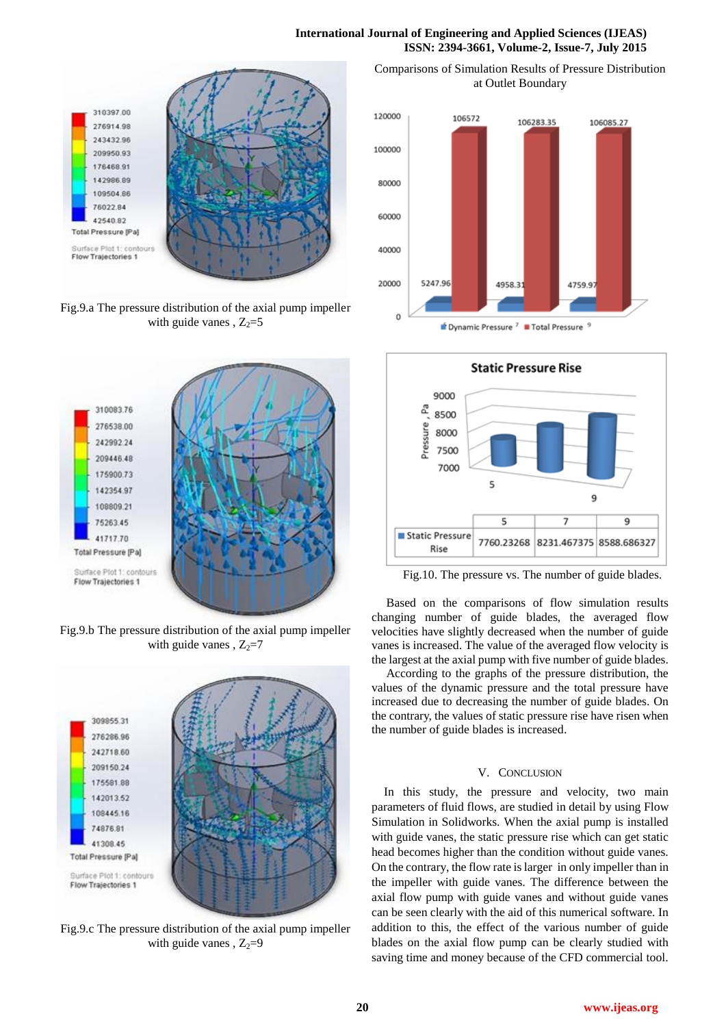## **International Journal of Engineering and Applied Sciences (IJEAS) ISSN: 2394-3661, Volume-2, Issue-7, July 2015**



Fig.9.a The pressure distribution of the axial pump impeller with guide vanes ,  $Z_2=5$ 



Fig.9.b The pressure distribution of the axial pump impeller with guide vanes ,  $Z_2=7$ 



Fig.9.c The pressure distribution of the axial pump impeller with guide vanes,  $Z_2=9$ 

Comparisons of Simulation Results of Pressure Distribution at Outlet Boundary



 $\triangle$  Dynamic Pressure  $^7$   $\blacksquare$  Total Pressure



Fig.10. The pressure vs. The number of guide blades.

Based on the comparisons of flow simulation results changing number of guide blades, the averaged flow velocities have slightly decreased when the number of guide vanes is increased. The value of the averaged flow velocity is the largest at the axial pump with five number of guide blades.

According to the graphs of the pressure distribution, the values of the dynamic pressure and the total pressure have increased due to decreasing the number of guide blades. On the contrary, the values of static pressure rise have risen when the number of guide blades is increased.

### V. CONCLUSION

In this study, the pressure and velocity, two main parameters of fluid flows, are studied in detail by using Flow Simulation in Solidworks. When the axial pump is installed with guide vanes, the static pressure rise which can get static head becomes higher than the condition without guide vanes. On the contrary, the flow rate is larger in only impeller than in the impeller with guide vanes. The difference between the axial flow pump with guide vanes and without guide vanes can be seen clearly with the aid of this numerical software. In addition to this, the effect of the various number of guide blades on the axial flow pump can be clearly studied with saving time and money because of the CFD commercial tool.